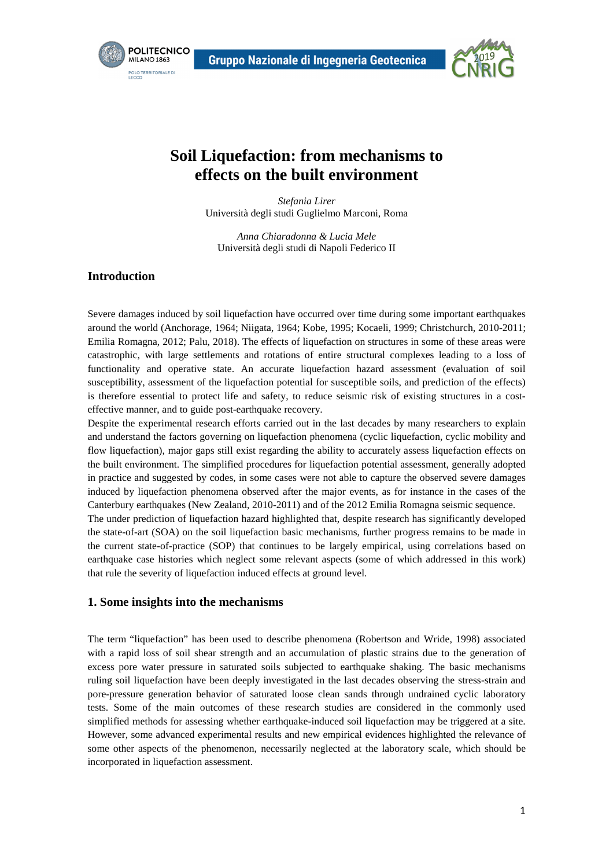



# **Soil Liquefaction: from mechanisms to effects on the built environment**

*Stefania Lirer*  Università degli studi Guglielmo Marconi, Roma

*Anna Chiaradonna & Lucia Mele*  Università degli studi di Napoli Federico II

#### **Introduction**

Severe damages induced by soil liquefaction have occurred over time during some important earthquakes around the world (Anchorage, 1964; Niigata, 1964; Kobe, 1995; Kocaeli, 1999; Christchurch, 2010-2011; Emilia Romagna, 2012; Palu, 2018). The effects of liquefaction on structures in some of these areas were catastrophic, with large settlements and rotations of entire structural complexes leading to a loss of functionality and operative state. An accurate liquefaction hazard assessment (evaluation of soil susceptibility, assessment of the liquefaction potential for susceptible soils, and prediction of the effects) is therefore essential to protect life and safety, to reduce seismic risk of existing structures in a costeffective manner, and to guide post-earthquake recovery.

Despite the experimental research efforts carried out in the last decades by many researchers to explain and understand the factors governing on liquefaction phenomena (cyclic liquefaction, cyclic mobility and flow liquefaction), major gaps still exist regarding the ability to accurately assess liquefaction effects on the built environment. The simplified procedures for liquefaction potential assessment, generally adopted in practice and suggested by codes, in some cases were not able to capture the observed severe damages induced by liquefaction phenomena observed after the major events, as for instance in the cases of the Canterbury earthquakes (New Zealand, 2010-2011) and of the 2012 Emilia Romagna seismic sequence. The under prediction of liquefaction hazard highlighted that, despite research has significantly developed the state-of-art (SOA) on the soil liquefaction basic mechanisms, further progress remains to be made in the current state-of-practice (SOP) that continues to be largely empirical, using correlations based on earthquake case histories which neglect some relevant aspects (some of which addressed in this work) that rule the severity of liquefaction induced effects at ground level.

#### **1. Some insights into the mechanisms**

The term "liquefaction" has been used to describe phenomena (Robertson and Wride, 1998) associated with a rapid loss of soil shear strength and an accumulation of plastic strains due to the generation of excess pore water pressure in saturated soils subjected to earthquake shaking. The basic mechanisms ruling soil liquefaction have been deeply investigated in the last decades observing the stress-strain and pore-pressure generation behavior of saturated loose clean sands through undrained cyclic laboratory tests. Some of the main outcomes of these research studies are considered in the commonly used simplified methods for assessing whether earthquake-induced soil liquefaction may be triggered at a site. However, some advanced experimental results and new empirical evidences highlighted the relevance of some other aspects of the phenomenon, necessarily neglected at the laboratory scale, which should be incorporated in liquefaction assessment.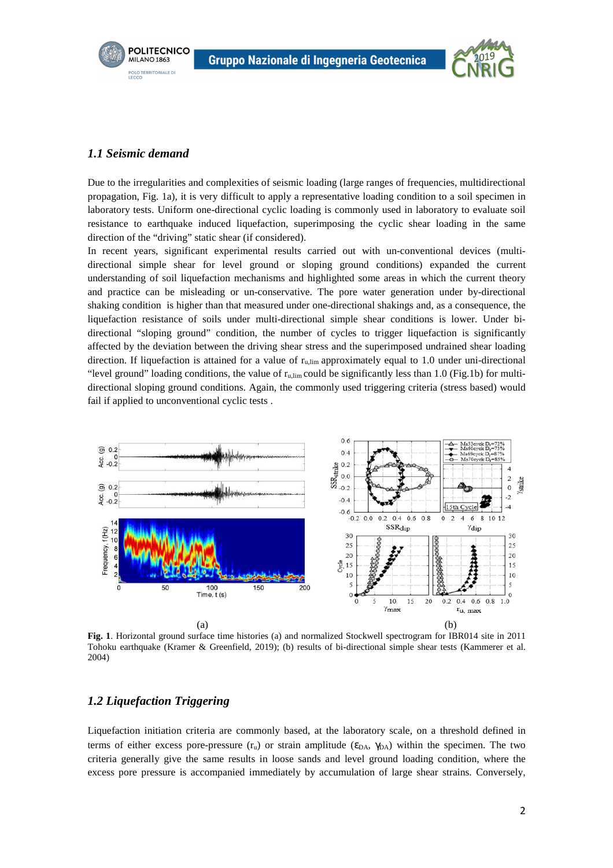

#### *1.1 Seismic demand*

**POLITECNICO** 

MILANO 1863 **POLO TERRITORIALE DI**<br>LECCO

Due to the irregularities and complexities of seismic loading (large ranges of frequencies, multidirectional propagation, Fig. 1a), it is very difficult to apply a representative loading condition to a soil specimen in laboratory tests. Uniform one-directional cyclic loading is commonly used in laboratory to evaluate soil resistance to earthquake induced liquefaction, superimposing the cyclic shear loading in the same direction of the "driving" static shear (if considered).

In recent years, significant experimental results carried out with un-conventional devices (multidirectional simple shear for level ground or sloping ground conditions) expanded the current understanding of soil liquefaction mechanisms and highlighted some areas in which the current theory and practice can be misleading or un-conservative. The pore water generation under by-directional shaking condition is higher than that measured under one-directional shakings and, as a consequence, the liquefaction resistance of soils under multi-directional simple shear conditions is lower. Under bidirectional "sloping ground" condition, the number of cycles to trigger liquefaction is significantly affected by the deviation between the driving shear stress and the superimposed undrained shear loading direction. If liquefaction is attained for a value of  $r_{\text{u,lim}}$  approximately equal to 1.0 under uni-directional "level ground" loading conditions, the value of ru,lim could be significantly less than 1.0 (Fig.1b) for multidirectional sloping ground conditions. Again, the commonly used triggering criteria (stress based) would fail if applied to unconventional cyclic tests .



**Fig. 1**. Horizontal ground surface time histories (a) and normalized Stockwell spectrogram for IBR014 site in 2011 Tohoku earthquake (Kramer & Greenfield, 2019); (b) results of bi-directional simple shear tests (Kammerer et al. 2004)

## *1.2 Liquefaction Triggering*

Liquefaction initiation criteria are commonly based, at the laboratory scale, on a threshold defined in terms of either excess pore-pressure  $(r_u)$  or strain amplitude ( $\epsilon_{DA}$ ,  $\gamma_{DA}$ ) within the specimen. The two criteria generally give the same results in loose sands and level ground loading condition, where the excess pore pressure is accompanied immediately by accumulation of large shear strains. Conversely,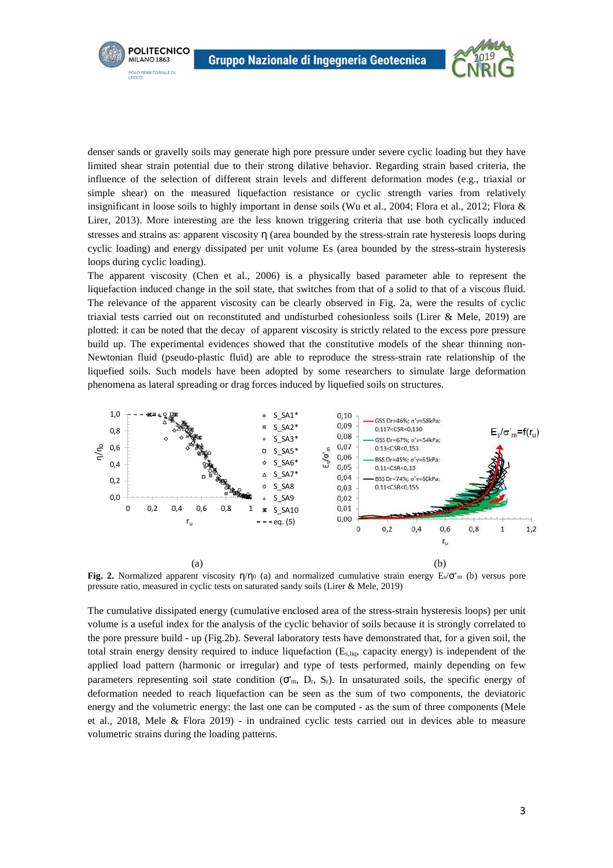**POLITECNICO** 

MILANO 1863 **POLO TERRITORIALE DI**<br>LECCO



denser sands or gravelly soils may generate high pore pressure under severe cyclic loading but they have limited shear strain potential due to their strong dilative behavior. Regarding strain based criteria, the influence of the selection of different strain levels and different deformation modes (e.g., triaxial or simple shear) on the measured liquefaction resistance or cyclic strength varies from relatively insignificant in loose soils to highly important in dense soils (Wu et al., 2004; Flora et al., 2012; Flora & Lirer, 2013). More interesting are the less known triggering criteria that use both cyclically induced stresses and strains as: apparent viscosity η (area bounded by the stress-strain rate hysteresis loops during cyclic loading) and energy dissipated per unit volume Es (area bounded by the stress-strain hysteresis loops during cyclic loading).

The apparent viscosity (Chen et al., 2006) is a physically based parameter able to represent the liquefaction induced change in the soil state, that switches from that of a solid to that of a viscous fluid. The relevance of the apparent viscosity can be clearly observed in Fig. 2a, were the results of cyclic triaxial tests carried out on reconstituted and undisturbed cohesionless soils (Lirer & Mele, 2019) are plotted: it can be noted that the decay of apparent viscosity is strictly related to the excess pore pressure build up. The experimental evidences showed that the constitutive models of the shear thinning non-Newtonian fluid (pseudo-plastic fluid) are able to reproduce the stress-strain rate relationship of the liquefied soils. Such models have been adopted by some researchers to simulate large deformation phenomena as lateral spreading or drag forces induced by liquefied soils on structures.



**Fig. 2.** Normalized apparent viscosity  $\eta/\eta_0$  (a) and normalized cumulative strain energy  $E_s/\sigma_m$  (b) versus pore pressure ratio, measured in cyclic tests on saturated sandy soils (Lirer & Mele, 2019)

The cumulative dissipated energy (cumulative enclosed area of the stress-strain hysteresis loops) per unit volume is a useful index for the analysis of the cyclic behavior of soils because it is strongly correlated to the pore pressure build - up (Fig.2b). Several laboratory tests have demonstrated that, for a given soil, the total strain energy density required to induce liquefaction (Es,liq, capacity energy) is independent of the applied load pattern (harmonic or irregular) and type of tests performed, mainly depending on few parameters representing soil state condition  $(\sigma'_m, D_r, S_r)$ . In unsaturated soils, the specific energy of deformation needed to reach liquefaction can be seen as the sum of two components, the deviatoric energy and the volumetric energy: the last one can be computed - as the sum of three components (Mele et al., 2018, Mele & Flora 2019) - in undrained cyclic tests carried out in devices able to measure volumetric strains during the loading patterns.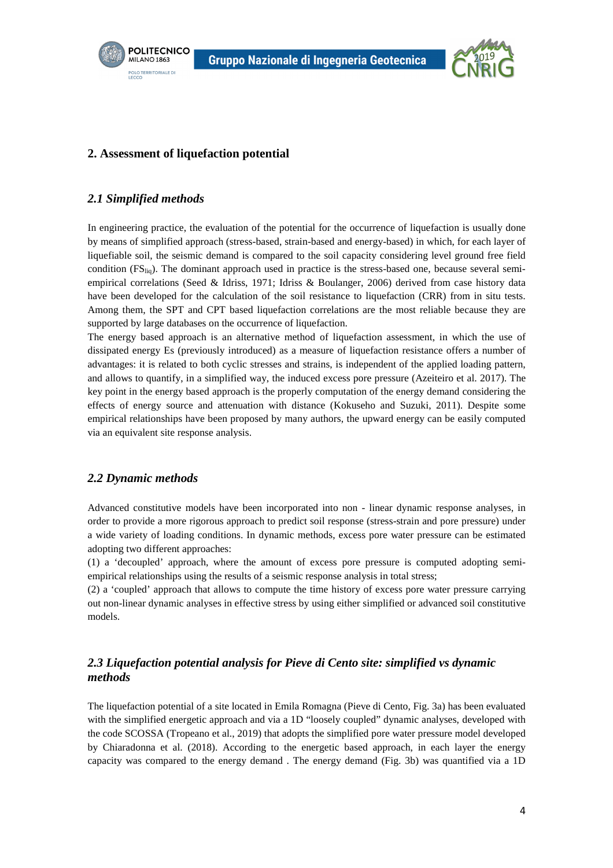





## **2. Assessment of liquefaction potential**

#### *2.1 Simplified methods*

In engineering practice, the evaluation of the potential for the occurrence of liquefaction is usually done by means of simplified approach (stress-based, strain-based and energy-based) in which, for each layer of liquefiable soil, the seismic demand is compared to the soil capacity considering level ground free field condition (FS<sub>liq</sub>). The dominant approach used in practice is the stress-based one, because several semiempirical correlations (Seed & Idriss, 1971; Idriss & Boulanger, 2006) derived from case history data have been developed for the calculation of the soil resistance to liquefaction (CRR) from in situ tests. Among them, the SPT and CPT based liquefaction correlations are the most reliable because they are supported by large databases on the occurrence of liquefaction.

The energy based approach is an alternative method of liquefaction assessment, in which the use of dissipated energy Es (previously introduced) as a measure of liquefaction resistance offers a number of advantages: it is related to both cyclic stresses and strains, is independent of the applied loading pattern, and allows to quantify, in a simplified way, the induced excess pore pressure (Azeiteiro et al. 2017). The key point in the energy based approach is the properly computation of the energy demand considering the effects of energy source and attenuation with distance (Kokuseho and Suzuki, 2011). Despite some empirical relationships have been proposed by many authors, the upward energy can be easily computed via an equivalent site response analysis.

## *2.2 Dynamic methods*

Advanced constitutive models have been incorporated into non - linear dynamic response analyses, in order to provide a more rigorous approach to predict soil response (stress-strain and pore pressure) under a wide variety of loading conditions. In dynamic methods, excess pore water pressure can be estimated adopting two different approaches:

(1) a 'decoupled' approach, where the amount of excess pore pressure is computed adopting semiempirical relationships using the results of a seismic response analysis in total stress;

(2) a 'coupled' approach that allows to compute the time history of excess pore water pressure carrying out non-linear dynamic analyses in effective stress by using either simplified or advanced soil constitutive models.

# *2.3 Liquefaction potential analysis for Pieve di Cento site: simplified vs dynamic methods*

The liquefaction potential of a site located in Emila Romagna (Pieve di Cento, Fig. 3a) has been evaluated with the simplified energetic approach and via a 1D "loosely coupled" dynamic analyses, developed with the code SCOSSA (Tropeano et al., 2019) that adopts the simplified pore water pressure model developed by Chiaradonna et al. (2018). According to the energetic based approach, in each layer the energy capacity was compared to the energy demand . The energy demand (Fig. 3b) was quantified via a 1D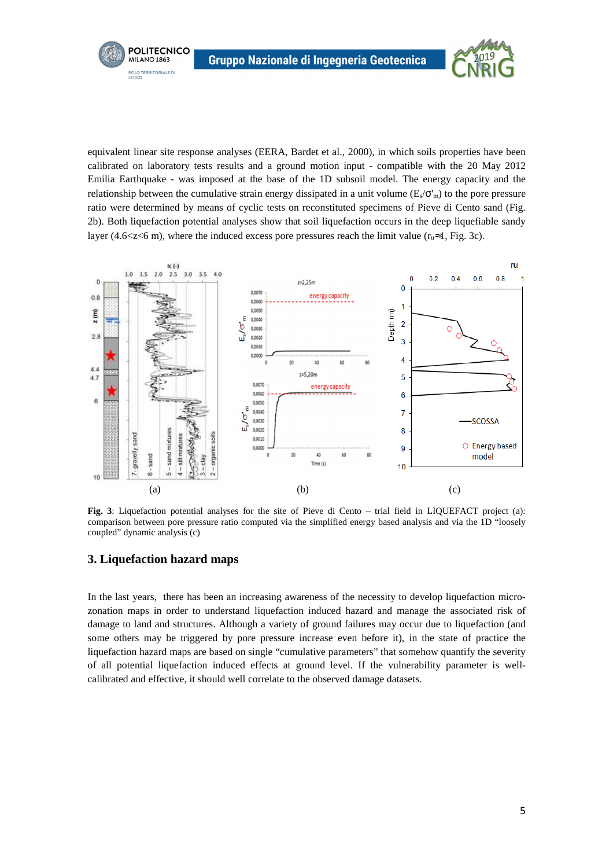

equivalent linear site response analyses (EERA, Bardet et al., 2000), in which soils properties have been calibrated on laboratory tests results and a ground motion input - compatible with the 20 May 2012 Emilia Earthquake - was imposed at the base of the 1D subsoil model. The energy capacity and the relationship between the cumulative strain energy dissipated in a unit volume ( $E\ll \sigma'$ <sub>m</sub>) to the pore pressure ratio were determined by means of cyclic tests on reconstituted specimens of Pieve di Cento sand (Fig. 2b). Both liquefaction potential analyses show that soil liquefaction occurs in the deep liquefiable sandy layer (4.6<z<6 m), where the induced excess pore pressures reach the limit value ( $r_u \approx 1$ , Fig. 3c).



**Fig. 3**: Liquefaction potential analyses for the site of Pieve di Cento – trial field in LIQUEFACT project (a): comparison between pore pressure ratio computed via the simplified energy based analysis and via the 1D "loosely coupled" dynamic analysis (c)

#### **3. Liquefaction hazard maps**

In the last years, there has been an increasing awareness of the necessity to develop liquefaction microzonation maps in order to understand liquefaction induced hazard and manage the associated risk of damage to land and structures. Although a variety of ground failures may occur due to liquefaction (and some others may be triggered by pore pressure increase even before it), in the state of practice the liquefaction hazard maps are based on single "cumulative parameters" that somehow quantify the severity of all potential liquefaction induced effects at ground level. If the vulnerability parameter is wellcalibrated and effective, it should well correlate to the observed damage datasets.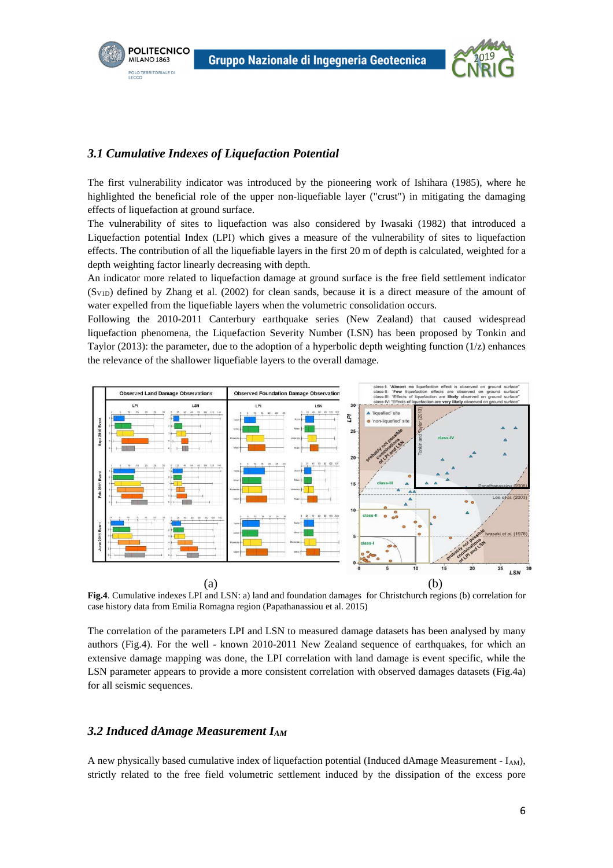



#### *3.1 Cumulative Indexes of Liquefaction Potential*

The first vulnerability indicator was introduced by the pioneering work of Ishihara (1985), where he highlighted the beneficial role of the upper non-liquefiable layer ("crust") in mitigating the damaging effects of liquefaction at ground surface.

The vulnerability of sites to liquefaction was also considered by Iwasaki (1982) that introduced a Liquefaction potential Index (LPI) which gives a measure of the vulnerability of sites to liquefaction effects. The contribution of all the liquefiable layers in the first 20 m of depth is calculated, weighted for a depth weighting factor linearly decreasing with depth.

An indicator more related to liquefaction damage at ground surface is the free field settlement indicator  $(S_{V1D})$  defined by Zhang et al. (2002) for clean sands, because it is a direct measure of the amount of water expelled from the liquefiable layers when the volumetric consolidation occurs.

Following the 2010-2011 Canterbury earthquake series (New Zealand) that caused widespread liquefaction phenomena, the Liquefaction Severity Number (LSN) has been proposed by Tonkin and Taylor (2013): the parameter, due to the adoption of a hyperbolic depth weighting function  $(1/z)$  enhances the relevance of the shallower liquefiable layers to the overall damage.



**Fig.4**. Cumulative indexes LPI and LSN: a) land and foundation damages for Christchurch regions (b) correlation for case history data from Emilia Romagna region (Papathanassiou et al. 2015)

The correlation of the parameters LPI and LSN to measured damage datasets has been analysed by many authors (Fig.4). For the well - known 2010-2011 New Zealand sequence of earthquakes, for which an extensive damage mapping was done, the LPI correlation with land damage is event specific, while the LSN parameter appears to provide a more consistent correlation with observed damages datasets (Fig.4a) for all seismic sequences.

#### *3.2 Induced dAmage Measurement IAM*

A new physically based cumulative index of liquefaction potential (Induced dAmage Measurement -  $I_{AM}$ ), strictly related to the free field volumetric settlement induced by the dissipation of the excess pore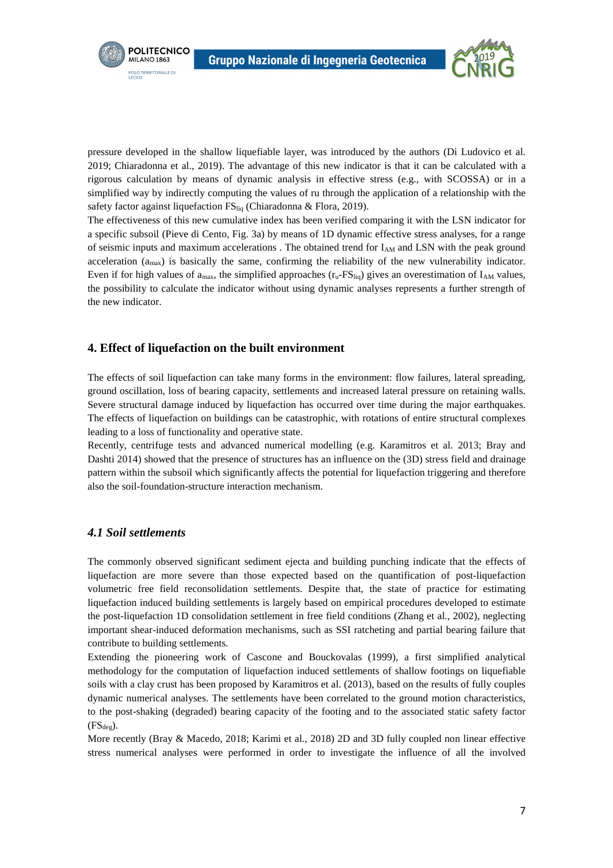



pressure developed in the shallow liquefiable layer, was introduced by the authors (Di Ludovico et al. 2019; Chiaradonna et al., 2019). The advantage of this new indicator is that it can be calculated with a rigorous calculation by means of dynamic analysis in effective stress (e.g., with SCOSSA) or in a simplified way by indirectly computing the values of ru through the application of a relationship with the safety factor against liquefaction FS<sub>liq</sub> (Chiaradonna & Flora, 2019).

The effectiveness of this new cumulative index has been verified comparing it with the LSN indicator for a specific subsoil (Pieve di Cento, Fig. 3a) by means of 1D dynamic effective stress analyses, for a range of seismic inputs and maximum accelerations . The obtained trend for  $I_{AM}$  and LSN with the peak ground acceleration (amax) is basically the same, confirming the reliability of the new vulnerability indicator. Even if for high values of  $a_{max}$ , the simplified approaches  $(r_u$ -FS<sub>liq</sub>) gives an overestimation of  $I_{AM}$  values, the possibility to calculate the indicator without using dynamic analyses represents a further strength of the new indicator.

## **4. Effect of liquefaction on the built environment**

The effects of soil liquefaction can take many forms in the environment: flow failures, lateral spreading, ground oscillation, loss of bearing capacity, settlements and increased lateral pressure on retaining walls. Severe structural damage induced by liquefaction has occurred over time during the major earthquakes. The effects of liquefaction on buildings can be catastrophic, with rotations of entire structural complexes leading to a loss of functionality and operative state.

Recently, centrifuge tests and advanced numerical modelling (e.g. Karamitros et al. 2013; Bray and Dashti 2014) showed that the presence of structures has an influence on the (3D) stress field and drainage pattern within the subsoil which significantly affects the potential for liquefaction triggering and therefore also the soil-foundation-structure interaction mechanism.

#### *4.1 Soil settlements*

The commonly observed significant sediment ejecta and building punching indicate that the effects of liquefaction are more severe than those expected based on the quantification of post-liquefaction volumetric free field reconsolidation settlements. Despite that, the state of practice for estimating liquefaction induced building settlements is largely based on empirical procedures developed to estimate the post-liquefaction 1D consolidation settlement in free field conditions (Zhang et al., 2002), neglecting important shear-induced deformation mechanisms, such as SSI ratcheting and partial bearing failure that contribute to building settlements.

Extending the pioneering work of Cascone and Bouckovalas (1999), a first simplified analytical methodology for the computation of liquefaction induced settlements of shallow footings on liquefiable soils with a clay crust has been proposed by Karamitros et al. (2013), based on the results of fully couples dynamic numerical analyses. The settlements have been correlated to the ground motion characteristics, to the post-shaking (degraded) bearing capacity of the footing and to the associated static safety factor  $(FS_{deg})$ .

More recently (Bray & Macedo, 2018; Karimi et al., 2018) 2D and 3D fully coupled non linear effective stress numerical analyses were performed in order to investigate the influence of all the involved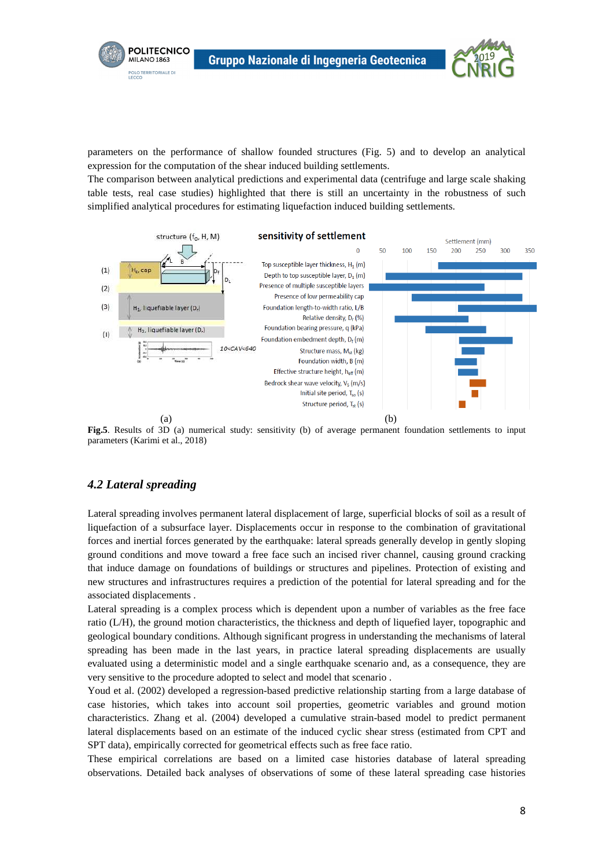

parameters on the performance of shallow founded structures (Fig. 5) and to develop an analytical expression for the computation of the shear induced building settlements.

The comparison between analytical predictions and experimental data (centrifuge and large scale shaking table tests, real case studies) highlighted that there is still an uncertainty in the robustness of such simplified analytical procedures for estimating liquefaction induced building settlements.





## *4.2 Lateral spreading*

**POLITECNICO** 

MILANO 1863 **POLO TERRITORIALE DI**<br>LECCO

Lateral spreading involves permanent lateral displacement of large, superficial blocks of soil as a result of liquefaction of a subsurface layer. Displacements occur in response to the combination of gravitational forces and inertial forces generated by the earthquake: lateral spreads generally develop in gently sloping ground conditions and move toward a free face such an incised river channel, causing ground cracking that induce damage on foundations of buildings or structures and pipelines. Protection of existing and new structures and infrastructures requires a prediction of the potential for lateral spreading and for the associated displacements .

Lateral spreading is a complex process which is dependent upon a number of variables as the free face ratio (L/H), the ground motion characteristics, the thickness and depth of liquefied layer, topographic and geological boundary conditions. Although significant progress in understanding the mechanisms of lateral spreading has been made in the last years, in practice lateral spreading displacements are usually evaluated using a deterministic model and a single earthquake scenario and, as a consequence, they are very sensitive to the procedure adopted to select and model that scenario .

Youd et al. (2002) developed a regression-based predictive relationship starting from a large database of case histories, which takes into account soil properties, geometric variables and ground motion characteristics. Zhang et al. (2004) developed a cumulative strain-based model to predict permanent lateral displacements based on an estimate of the induced cyclic shear stress (estimated from CPT and SPT data), empirically corrected for geometrical effects such as free face ratio.

These empirical correlations are based on a limited case histories database of lateral spreading observations. Detailed back analyses of observations of some of these lateral spreading case histories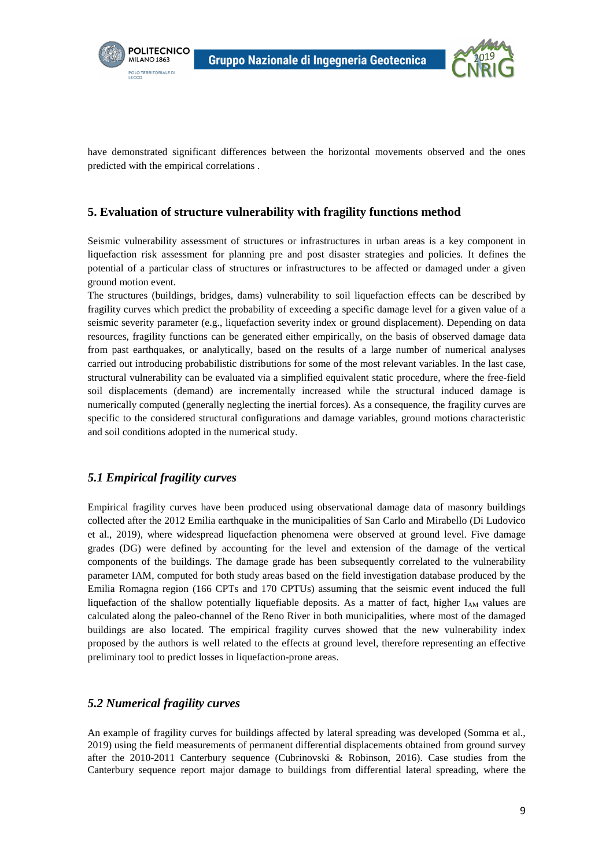



have demonstrated significant differences between the horizontal movements observed and the ones predicted with the empirical correlations .

## **5. Evaluation of structure vulnerability with fragility functions method**

Seismic vulnerability assessment of structures or infrastructures in urban areas is a key component in liquefaction risk assessment for planning pre and post disaster strategies and policies. It defines the potential of a particular class of structures or infrastructures to be affected or damaged under a given ground motion event.

The structures (buildings, bridges, dams) vulnerability to soil liquefaction effects can be described by fragility curves which predict the probability of exceeding a specific damage level for a given value of a seismic severity parameter (e.g., liquefaction severity index or ground displacement). Depending on data resources, fragility functions can be generated either empirically, on the basis of observed damage data from past earthquakes, or analytically, based on the results of a large number of numerical analyses carried out introducing probabilistic distributions for some of the most relevant variables. In the last case, structural vulnerability can be evaluated via a simplified equivalent static procedure, where the free-field soil displacements (demand) are incrementally increased while the structural induced damage is numerically computed (generally neglecting the inertial forces). As a consequence, the fragility curves are specific to the considered structural configurations and damage variables, ground motions characteristic and soil conditions adopted in the numerical study.

## *5.1 Empirical fragility curves*

Empirical fragility curves have been produced using observational damage data of masonry buildings collected after the 2012 Emilia earthquake in the municipalities of San Carlo and Mirabello (Di Ludovico et al., 2019), where widespread liquefaction phenomena were observed at ground level. Five damage grades (DG) were defined by accounting for the level and extension of the damage of the vertical components of the buildings. The damage grade has been subsequently correlated to the vulnerability parameter IAM, computed for both study areas based on the field investigation database produced by the Emilia Romagna region (166 CPTs and 170 CPTUs) assuming that the seismic event induced the full liquefaction of the shallow potentially liquefiable deposits. As a matter of fact, higher  $I_{AM}$  values are calculated along the paleo-channel of the Reno River in both municipalities, where most of the damaged buildings are also located. The empirical fragility curves showed that the new vulnerability index proposed by the authors is well related to the effects at ground level, therefore representing an effective preliminary tool to predict losses in liquefaction-prone areas.

## *5.2 Numerical fragility curves*

An example of fragility curves for buildings affected by lateral spreading was developed (Somma et al., 2019) using the field measurements of permanent differential displacements obtained from ground survey after the 2010-2011 Canterbury sequence (Cubrinovski & Robinson, 2016). Case studies from the Canterbury sequence report major damage to buildings from differential lateral spreading, where the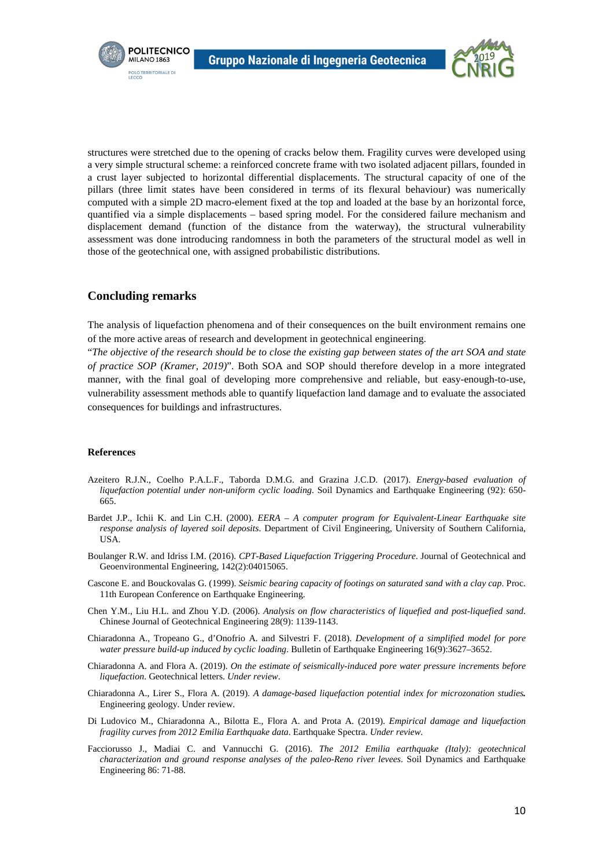



structures were stretched due to the opening of cracks below them. Fragility curves were developed using a very simple structural scheme: a reinforced concrete frame with two isolated adjacent pillars, founded in a crust layer subjected to horizontal differential displacements. The structural capacity of one of the pillars (three limit states have been considered in terms of its flexural behaviour) was numerically computed with a simple 2D macro-element fixed at the top and loaded at the base by an horizontal force, quantified via a simple displacements – based spring model. For the considered failure mechanism and displacement demand (function of the distance from the waterway), the structural vulnerability assessment was done introducing randomness in both the parameters of the structural model as well in those of the geotechnical one, with assigned probabilistic distributions.

#### **Concluding remarks**

The analysis of liquefaction phenomena and of their consequences on the built environment remains one of the more active areas of research and development in geotechnical engineering.

"*The objective of the research should be to close the existing gap between states of the art SOA and state of practice SOP (Kramer, 2019)*". Both SOA and SOP should therefore develop in a more integrated manner, with the final goal of developing more comprehensive and reliable, but easy-enough-to-use, vulnerability assessment methods able to quantify liquefaction land damage and to evaluate the associated consequences for buildings and infrastructures.

#### **References**

- Azeitero R.J.N., Coelho P.A.L.F., Taborda D.M.G. and Grazina J.C.D. (2017). *Energy-based evaluation of liquefaction potential under non-uniform cyclic loading*. Soil Dynamics and Earthquake Engineering (92): 650- 665.
- Bardet J.P., Ichii K. and Lin C.H. (2000). *EERA A computer program for Equivalent-Linear Earthquake site response analysis of layered soil deposits*. Department of Civil Engineering, University of Southern California, USA.
- Boulanger R.W. and Idriss I.M. (2016). *CPT-Based Liquefaction Triggering Procedure*. Journal of Geotechnical and Geoenvironmental Engineering, 142(2):04015065.
- Cascone E. and Bouckovalas G. (1999). *Seismic bearing capacity of footings on saturated sand with a clay cap*. Proc. 11th European Conference on Earthquake Engineering.
- Chen Y.M., Liu H.L. and Zhou Y.D. (2006). *Analysis on flow characteristics of liquefied and post-liquefied sand*. Chinese Journal of Geotechnical Engineering 28(9): 1139-1143.
- Chiaradonna A., Tropeano G., d'Onofrio A. and Silvestri F. (2018). *Development of a simplified model for pore water pressure build-up induced by cyclic loading*. Bulletin of Earthquake Engineering 16(9):3627–3652.
- Chiaradonna A. and Flora A. (2019). *On the estimate of seismically-induced pore water pressure increments before liquefaction*. Geotechnical letters. *Under review*.
- Chiaradonna A., Lirer S., Flora A. (2019). *A damage-based liquefaction potential index for microzonation studies.*  Engineering geology. Under review.
- Di Ludovico M., Chiaradonna A., Bilotta E., Flora A. and Prota A. (2019). *Empirical damage and liquefaction fragility curves from 2012 Emilia Earthquake data*. Earthquake Spectra. *Under review*.
- Facciorusso J., Madiai C. and Vannucchi G. (2016). *The 2012 Emilia earthquake (Italy): geotechnical characterization and ground response analyses of the paleo-Reno river levees*. Soil Dynamics and Earthquake Engineering 86: 71-88.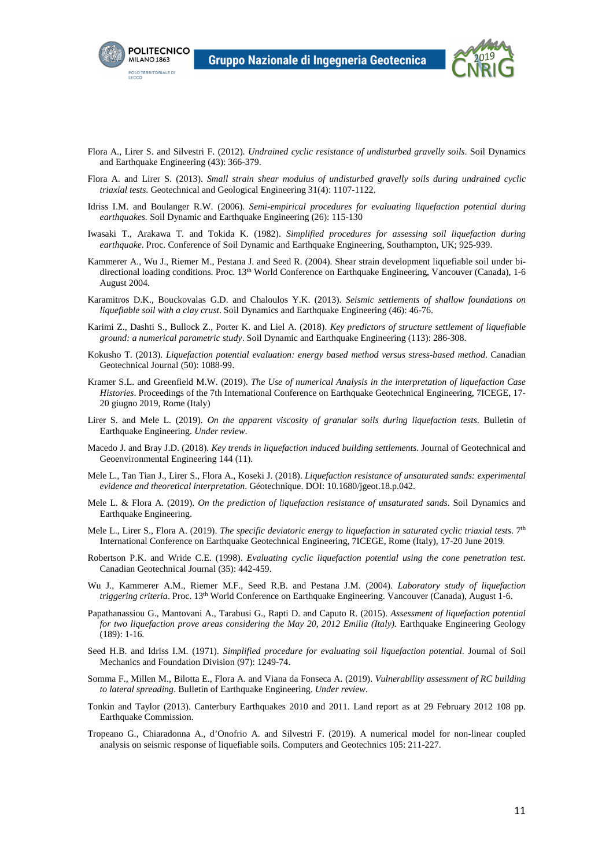



- Flora A., Lirer S. and Silvestri F. (2012). *Undrained cyclic resistance of undisturbed gravelly soils*. Soil Dynamics and Earthquake Engineering (43): 366-379.
- Flora A. and Lirer S. (2013). *Small strain shear modulus of undisturbed gravelly soils during undrained cyclic triaxial tests*. Geotechnical and Geological Engineering 31(4): 1107-1122.
- Idriss I.M. and Boulanger R.W. (2006). *Semi-empirical procedures for evaluating liquefaction potential during earthquakes.* Soil Dynamic and Earthquake Engineering (26): 115-130
- Iwasaki T., Arakawa T. and Tokida K. (1982). *Simplified procedures for assessing soil liquefaction during earthquake*. Proc. Conference of Soil Dynamic and Earthquake Engineering, Southampton, UK; 925-939.
- Kammerer A., Wu J., Riemer M., Pestana J. and Seed R. (2004). Shear strain development liquefiable soil under bidirectional loading conditions. Proc. 13th World Conference on Earthquake Engineering, Vancouver (Canada), 1-6 August 2004.
- Karamitros D.K., Bouckovalas G.D. and Chaloulos Y.K. (2013). *Seismic settlements of shallow foundations on liquefiable soil with a clay crust*. Soil Dynamics and Earthquake Engineering (46): 46-76.
- Karimi Z., Dashti S., Bullock Z., Porter K. and Liel A. (2018). *Key predictors of structure settlement of liquefiable ground: a numerical parametric study*. Soil Dynamic and Earthquake Engineering (113): 286-308.
- Kokusho T. (2013). *Liquefaction potential evaluation: energy based method versus stress-based method*. Canadian Geotechnical Journal (50): 1088-99.
- Kramer S.L. and Greenfield M.W. (2019). *The Use of numerical Analysis in the interpretation of liquefaction Case Histories*. Proceedings of the 7th International Conference on Earthquake Geotechnical Engineering, 7ICEGE, 17- 20 giugno 2019, Rome (Italy)
- Lirer S. and Mele L. (2019). *On the apparent viscosity of granular soils during liquefaction tests*. Bulletin of Earthquake Engineering. *Under review*.
- Macedo J. and Bray J.D. (2018). *Key trends in liquefaction induced building settlements*. Journal of Geotechnical and Geoenvironmental Engineering 144 (11).
- Mele L., Tan Tian J., Lirer S., Flora A., Koseki J. (2018). *Liquefaction resistance of unsaturated sands: experimental evidence and theoretical interpretation*. Géotechnique. DOI: 10.1680/jgeot.18.p.042.
- Mele L. & Flora A. (2019). *On the prediction of liquefaction resistance of u*n*saturated sands*. Soil Dynamics and Earthquake Engineering.
- Mele L., Lirer S., Flora A. (2019). *The specific deviatoric energy to liquefaction in saturated cyclic triaxial tests*. 7<sup>th</sup> International Conference on Earthquake Geotechnical Engineering, 7ICEGE, Rome (Italy), 17-20 June 2019.
- Robertson P.K. and Wride C.E. (1998). *Evaluating cyclic liquefaction potential using the cone penetration test*. Canadian Geotechnical Journal (35): 442-459.
- Wu J., Kammerer A.M., Riemer M.F., Seed R.B. and Pestana J.M. (2004). *Laboratory study of liquefaction triggering criteria*. Proc. 13th World Conference on Earthquake Engineering. Vancouver (Canada), August 1-6.
- Papathanassiou G., Mantovani A., Tarabusi G., Rapti D. and Caputo R. (2015). *Assessment of liquefaction potential for two liquefaction prove areas considering the May 20, 2012 Emilia (Italy).* Earthquake Engineering Geology (189): 1-16.
- Seed H.B. and Idriss I.M. (1971). *Simplified procedure for evaluating soil liquefaction potential*. Journal of Soil Mechanics and Foundation Division (97): 1249-74.
- Somma F., Millen M., Bilotta E., Flora A. and Viana da Fonseca A. (2019). *Vulnerability assessment of RC building to lateral spreading*. Bulletin of Earthquake Engineering. *Under review*.
- Tonkin and Taylor (2013). Canterbury Earthquakes 2010 and 2011. Land report as at 29 February 2012 108 pp. Earthquake Commission.
- Tropeano G., Chiaradonna A., d'Onofrio A. and Silvestri F. (2019). A numerical model for non-linear coupled analysis on seismic response of liquefiable soils. Computers and Geotechnics 105: 211-227.